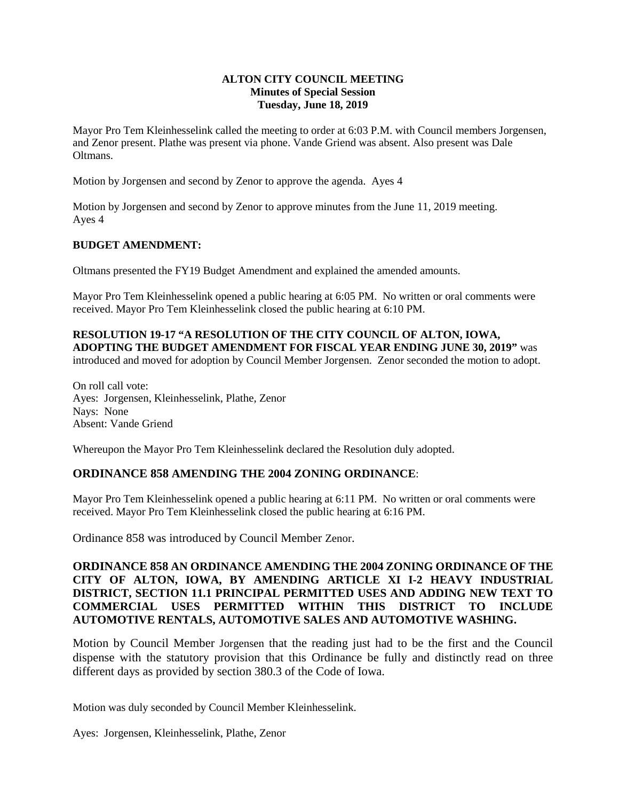### **ALTON CITY COUNCIL MEETING Minutes of Special Session Tuesday, June 18, 2019**

Mayor Pro Tem Kleinhesselink called the meeting to order at 6:03 P.M. with Council members Jorgensen, and Zenor present. Plathe was present via phone. Vande Griend was absent. Also present was Dale **Oltmans** 

Motion by Jorgensen and second by Zenor to approve the agenda. Ayes 4

Motion by Jorgensen and second by Zenor to approve minutes from the June 11, 2019 meeting. Ayes 4

### **BUDGET AMENDMENT:**

Oltmans presented the FY19 Budget Amendment and explained the amended amounts.

Mayor Pro Tem Kleinhesselink opened a public hearing at 6:05 PM. No written or oral comments were received. Mayor Pro Tem Kleinhesselink closed the public hearing at 6:10 PM.

# **RESOLUTION 19-17 "A RESOLUTION OF THE CITY COUNCIL OF ALTON, IOWA,**

**ADOPTING THE BUDGET AMENDMENT FOR FISCAL YEAR ENDING JUNE 30, 2019"** was introduced and moved for adoption by Council Member Jorgensen. Zenor seconded the motion to adopt.

On roll call vote: Ayes: Jorgensen, Kleinhesselink, Plathe, Zenor Nays: None Absent: Vande Griend

Whereupon the Mayor Pro Tem Kleinhesselink declared the Resolution duly adopted.

## **ORDINANCE 858 AMENDING THE 2004 ZONING ORDINANCE**:

Mayor Pro Tem Kleinhesselink opened a public hearing at 6:11 PM. No written or oral comments were received. Mayor Pro Tem Kleinhesselink closed the public hearing at 6:16 PM.

Ordinance 858 was introduced by Council Member Zenor.

**ORDINANCE 858 AN ORDINANCE AMENDING THE 2004 ZONING ORDINANCE OF THE CITY OF ALTON, IOWA, BY AMENDING ARTICLE XI I-2 HEAVY INDUSTRIAL DISTRICT, SECTION 11.1 PRINCIPAL PERMITTED USES AND ADDING NEW TEXT TO COMMERCIAL USES PERMITTED WITHIN THIS DISTRICT TO INCLUDE AUTOMOTIVE RENTALS, AUTOMOTIVE SALES AND AUTOMOTIVE WASHING.**

Motion by Council Member Jorgensen that the reading just had to be the first and the Council dispense with the statutory provision that this Ordinance be fully and distinctly read on three different days as provided by section 380.3 of the Code of Iowa.

Motion was duly seconded by Council Member Kleinhesselink.

Ayes: Jorgensen, Kleinhesselink, Plathe, Zenor